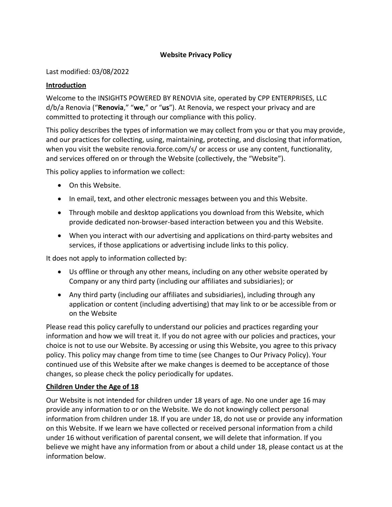## **Website Privacy Policy**

#### Last modified: 03/08/2022

#### **Introduction**

Welcome to the INSIGHTS POWERED BY RENOVIA site, operated by CPP ENTERPRISES, LLC d/b/a Renovia ("**Renovia**," "**we**," or "**us**"). At Renovia, we respect your privacy and are committed to protecting it through our compliance with this policy.

This policy describes the types of information we may collect from you or that you may provide, and our practices for collecting, using, maintaining, protecting, and disclosing that information, when you visit the website renovia.force.com/s/ or access or use any content, functionality, and services offered on or through the Website (collectively, the "Website").

This policy applies to information we collect:

- On this Website.
- In email, text, and other electronic messages between you and this Website.
- Through mobile and desktop applications you download from this Website, which provide dedicated non-browser-based interaction between you and this Website.
- When you interact with our advertising and applications on third-party websites and services, if those applications or advertising include links to this policy.

It does not apply to information collected by:

- Us offline or through any other means, including on any other website operated by Company or any third party (including our affiliates and subsidiaries); or
- Any third party (including our affiliates and subsidiaries), including through any application or content (including advertising) that may link to or be accessible from or on the Website

Please read this policy carefully to understand our policies and practices regarding your information and how we will treat it. If you do not agree with our policies and practices, your choice is not to use our Website. By accessing or using this Website, you agree to this privacy policy. This policy may change from time to time (see [Changes to Our Privacy Policy\)](#page-4-0). Your continued use of this Website after we make changes is deemed to be acceptance of those changes, so please check the policy periodically for updates.

## **Children Under the Age of 18**

Our Website is not intended for children under 18 years of age. No one under age 16 may provide any information to or on the Website. We do not knowingly collect personal information from children under 18. If you are under 18, do not use or provide any information on this Website. If we learn we have collected or received personal information from a child under 16 without verification of parental consent, we will delete that information. If you believe we might have any information from or about a child under 18, please contact us at the information below.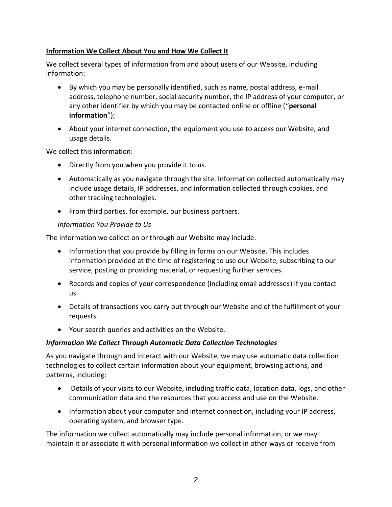# **Information We Collect About You and How We Collect It**

We collect several types of information from and about users of our Website, including information:

- By which you may be personally identified, such as name, postal address, e-mail address, telephone number, social security number, the IP address of your computer, or any other identifier by which you may be contacted online or offline ("**personal information**");
- About your internet connection, the equipment you use to access our Website, and usage details.

We collect this information:

- Directly from you when you provide it to us.
- Automatically as you navigate through the site. Information collected automatically may include usage details, IP addresses, and information collected through cookies, and other tracking technologies.
- From third parties, for example, our business partners.

## *Information You Provide to Us*

The information we collect on or through our Website may include:

- Information that you provide by filling in forms on our Website. This includes information provided at the time of registering to use our Website, subscribing to our service, posting or providing material, or requesting further services.
- Records and copies of your correspondence (including email addresses) if you contact us.
- Details of transactions you carry out through our Website and of the fulfillment of your requests.
- Your search queries and activities on the Website.

## *Information We Collect Through Automatic Data Collection Technologies*

As you navigate through and interact with our Website, we may use automatic data collection technologies to collect certain information about your equipment, browsing actions, and patterns, including:

- Details of your visits to our Website, including traffic data, location data, logs, and other communication data and the resources that you access and use on the Website.
- Information about your computer and internet connection, including your IP address, operating system, and browser type.

The information we collect automatically may include personal information, or we may maintain it or associate it with personal information we collect in other ways or receive from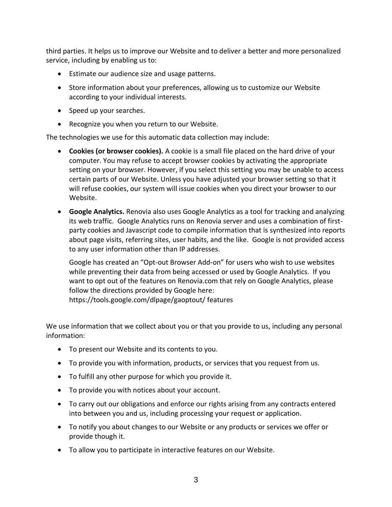third parties. It helps us to improve our Website and to deliver a better and more personalized service, including by enabling us to:

- Estimate our audience size and usage patterns.
- Store information about your preferences, allowing us to customize our Website according to your individual interests.
- Speed up your searches.
- Recognize you when you return to our Website.

The technologies we use for this automatic data collection may include:

- **Cookies (or browser cookies).** A cookie is a small file placed on the hard drive of your computer. You may refuse to accept browser cookies by activating the appropriate setting on your browser. However, if you select this setting you may be unable to access certain parts of our Website. Unless you have adjusted your browser setting so that it will refuse cookies, our system will issue cookies when you direct your browser to our Website.
- **Google Analytics.** Renovia also uses Google Analytics as a tool for tracking and analyzing its web traffic. Google Analytics runs on Renovia server and uses a combination of firstparty cookies and Javascript code to compile information that is synthesized into reports about page visits, referring sites, user habits, and the like. Google is not provided access to any user information other than IP addresses.

Google has created an "Opt-out Browser Add-on" for users who wish to use websites while preventing their data from being accessed or used by Google Analytics. If you want to opt out of the features on Renovia.com that rely on Google Analytics, please follow the directions provided by Google here:

https://tools.google.com/dlpage/gaoptout/ features

We use information that we collect about you or that you provide to us, including any personal information:

- To present our Website and its contents to you.
- To provide you with information, products, or services that you request from us.
- To fulfill any other purpose for which you provide it.
- To provide you with notices about your account.
- To carry out our obligations and enforce our rights arising from any contracts entered into between you and us, including processing your request or application.
- To notify you about changes to our Website or any products or services we offer or provide though it.
- To allow you to participate in interactive features on our Website.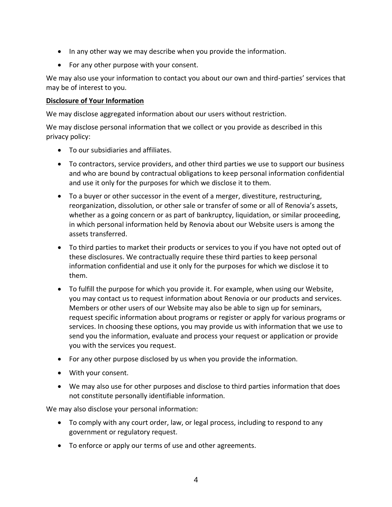- In any other way we may describe when you provide the information.
- For any other purpose with your consent.

We may also use your information to contact you about our own and third-parties' services that may be of interest to you.

#### **Disclosure of Your Information**

We may disclose aggregated information about our users without restriction.

We may disclose personal information that we collect or you provide as described in this privacy policy:

- To our subsidiaries and affiliates.
- To contractors, service providers, and other third parties we use to support our business and who are bound by contractual obligations to keep personal information confidential and use it only for the purposes for which we disclose it to them.
- To a buyer or other successor in the event of a merger, divestiture, restructuring, reorganization, dissolution, or other sale or transfer of some or all of Renovia's assets, whether as a going concern or as part of bankruptcy, liquidation, or similar proceeding, in which personal information held by Renovia about our Website users is among the assets transferred.
- To third parties to market their products or services to you if you have not opted out of these disclosures. We contractually require these third parties to keep personal information confidential and use it only for the purposes for which we disclose it to them.
- To fulfill the purpose for which you provide it. For example, when using our Website, you may contact us to request information about Renovia or our products and services. Members or other users of our Website may also be able to sign up for seminars, request specific information about programs or register or apply for various programs or services. In choosing these options, you may provide us with information that we use to send you the information, evaluate and process your request or application or provide you with the services you request.
- For any other purpose disclosed by us when you provide the information.
- With your consent.
- We may also use for other purposes and disclose to third parties information that does not constitute personally identifiable information.

We may also disclose your personal information:

- To comply with any court order, law, or legal process, including to respond to any government or regulatory request.
- To enforce or apply our [terms of use](https://renovia.com/wp-content/uploads/2022/03/Insights-Terms-of-Use.doc) and other agreements.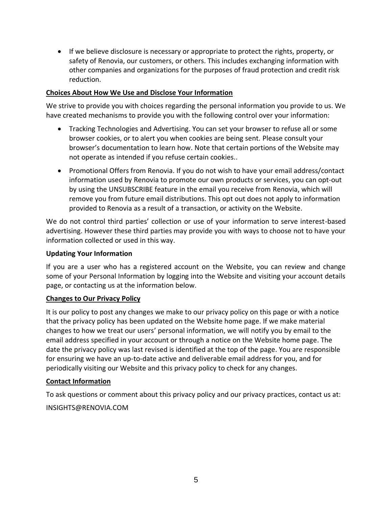• If we believe disclosure is necessary or appropriate to protect the rights, property, or safety of Renovia, our customers, or others. This includes exchanging information with other companies and organizations for the purposes of fraud protection and credit risk reduction.

#### **Choices About How We Use and Disclose Your Information**

We strive to provide you with choices regarding the personal information you provide to us. We have created mechanisms to provide you with the following control over your information:

- Tracking Technologies and Advertising. You can set your browser to refuse all or some browser cookies, or to alert you when cookies are being sent. Please consult your browser's documentation to learn how. Note that certain portions of the Website may not operate as intended if you refuse certain cookies..
- Promotional Offers from Renovia. If you do not wish to have your email address/contact information used by Renovia to promote our own products or services, you can opt-out by using the UNSUBSCRIBE feature in the email you receive from Renovia, which will remove you from future email distributions. This opt out does not apply to information provided to Renovia as a result of a transaction, or activity on the Website.

We do not control third parties' collection or use of your information to serve interest-based advertising. However these third parties may provide you with ways to choose not to have your information collected or used in this way.

#### **Updating Your Information**

If you are a user who has a registered account on the Website, you can review and change some of your Personal Information by logging into the Website and visiting your account details page, or contacting us at the information below.

#### <span id="page-4-0"></span>**Changes to Our Privacy Policy**

It is our policy to post any changes we make to our privacy policy on this page or with a notice that the privacy policy has been updated on the Website home page. If we make material changes to how we treat our users' personal information, we will notify you by email to the email address specified in your account or through a notice on the Website home page. The date the privacy policy was last revised is identified at the top of the page. You are responsible for ensuring we have an up-to-date active and deliverable email address for you, and for periodically visiting our Website and this privacy policy to check for any changes.

## **Contact Information**

To ask questions or comment about this privacy policy and our privacy practices, contact us at:

[INSIGHTS@RENOVIA.COM](mailto:INSIGHTS@RENOVIA.COM)